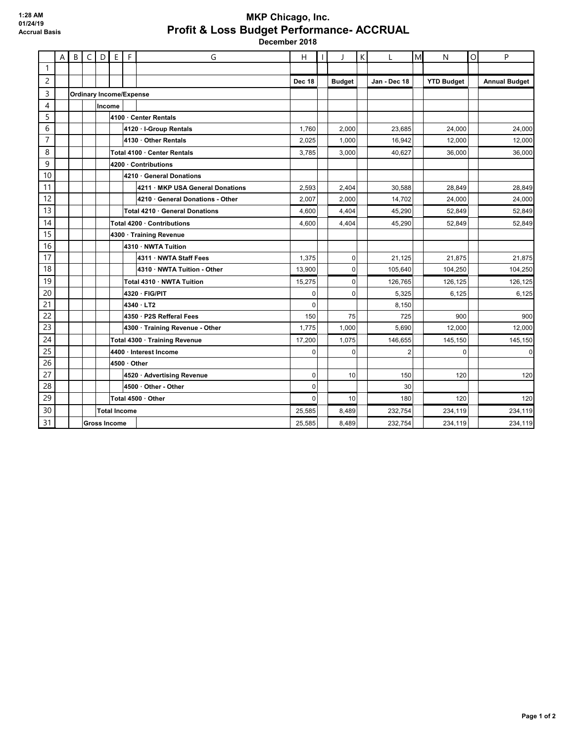## **MKP Chicago, Inc. Profit & Loss Budget Performance- ACCRUAL December 2018**

|                | $\sf A$ | B                              | $\mathsf{C}$ | D      | $\mathsf E$         | F          | G                                | н           | T             | К | L              | M | N                 | $\circ$ | P                    |
|----------------|---------|--------------------------------|--------------|--------|---------------------|------------|----------------------------------|-------------|---------------|---|----------------|---|-------------------|---------|----------------------|
| $\mathbf{1}$   |         |                                |              |        |                     |            |                                  |             |               |   |                |   |                   |         |                      |
| $\overline{c}$ |         |                                |              |        |                     |            |                                  | Dec 18      | <b>Budget</b> |   | Jan - Dec 18   |   | <b>YTD Budget</b> |         | <b>Annual Budget</b> |
| 3              |         | <b>Ordinary Income/Expense</b> |              |        |                     |            |                                  |             |               |   |                |   |                   |         |                      |
| 4              |         |                                |              | Income |                     |            |                                  |             |               |   |                |   |                   |         |                      |
| 5              |         |                                |              |        |                     |            | 4100 Center Rentals              |             |               |   |                |   |                   |         |                      |
| 6              |         |                                |              |        |                     |            | 4120 · I-Group Rentals           | 1,760       | 2,000         |   | 23,685         |   | 24,000            |         | 24,000               |
| $\overline{7}$ |         |                                |              |        |                     |            | 4130 · Other Rentals             | 2,025       | 1,000         |   | 16,942         |   | 12,000            |         | 12,000               |
| 8              |         |                                |              |        |                     |            | Total 4100 · Center Rentals      | 3,785       | 3,000         |   | 40,627         |   | 36,000            |         | 36,000               |
| 9              |         |                                |              |        |                     |            | 4200 Contributions               |             |               |   |                |   |                   |         |                      |
| 10             |         |                                |              |        |                     |            | 4210 · General Donations         |             |               |   |                |   |                   |         |                      |
| 11             |         |                                |              |        |                     |            | 4211 · MKP USA General Donations | 2,593       | 2,404         |   | 30,588         |   | 28,849            |         | 28,849               |
| 12             |         |                                |              |        |                     |            | 4210 General Donations - Other   | 2,007       | 2,000         |   | 14,702         |   | 24,000            |         | 24,000               |
| 13             |         |                                |              |        |                     |            | Total 4210 · General Donations   | 4,600       | 4,404         |   | 45,290         |   | 52,849            |         | 52,849               |
| 14             |         |                                |              |        |                     |            | Total 4200 Contributions         | 4,600       | 4,404         |   | 45,290         |   | 52,849            |         | 52,849               |
| 15             |         |                                |              |        |                     |            | 4300 · Training Revenue          |             |               |   |                |   |                   |         |                      |
| 16             |         |                                |              |        |                     |            | 4310 · NWTA Tuition              |             |               |   |                |   |                   |         |                      |
| 17             |         |                                |              |        |                     |            | 4311 NWTA Staff Fees             | 1,375       | $\Omega$      |   | 21,125         |   | 21,875            |         | 21,875               |
| 18             |         |                                |              |        |                     |            | 4310 NWTA Tuition - Other        | 13,900      | $\mathbf 0$   |   | 105,640        |   | 104,250           |         | 104,250              |
| 19             |         |                                |              |        |                     |            | Total 4310 · NWTA Tuition        | 15,275      | $\Omega$      |   | 126,765        |   | 126,125           |         | 126,125              |
| 20             |         |                                |              |        |                     |            | 4320 · FIG/PIT                   | 0           | $\Omega$      |   | 5,325          |   | 6,125             |         | 6,125                |
| 21             |         |                                |              |        |                     |            | 4340 · LT2                       | $\mathbf 0$ |               |   | 8,150          |   |                   |         |                      |
| 22             |         |                                |              |        |                     |            | 4350 · P2S Refferal Fees         | 150         | 75            |   | 725            |   | 900               |         | 900                  |
| 23             |         |                                |              |        |                     |            | 4300 · Training Revenue - Other  | 1,775       | 1,000         |   | 5,690          |   | 12,000            |         | 12,000               |
| 24             |         |                                |              |        |                     |            | Total 4300 · Training Revenue    | 17,200      | 1,075         |   | 146.655        |   | 145,150           |         | 145,150              |
| 25             |         |                                |              |        |                     |            | 4400 · Interest Income           | $\Omega$    | $\Omega$      |   | $\overline{2}$ |   | $\Omega$          |         | $\mathbf 0$          |
| 26             |         |                                |              |        |                     | 4500 Other |                                  |             |               |   |                |   |                   |         |                      |
| 27             |         |                                |              |        |                     |            | 4520 · Advertising Revenue       | $\mathbf 0$ | 10            |   | 150            |   | 120               |         | 120                  |
| 28             |         |                                |              |        |                     |            | 4500 · Other - Other             | $\Omega$    |               |   | 30             |   |                   |         |                      |
| 29             |         |                                |              |        |                     |            | Total 4500 · Other               | $\Omega$    | 10            |   | 180            |   | 120               |         | 120                  |
| 30             |         |                                |              |        | <b>Total Income</b> |            |                                  | 25.585      | 8,489         |   | 232.754        |   | 234,119           |         | 234,119              |
| 31             |         |                                |              |        | <b>Gross Income</b> |            |                                  | 25.585      | 8,489         |   | 232,754        |   | 234,119           |         | 234,119              |